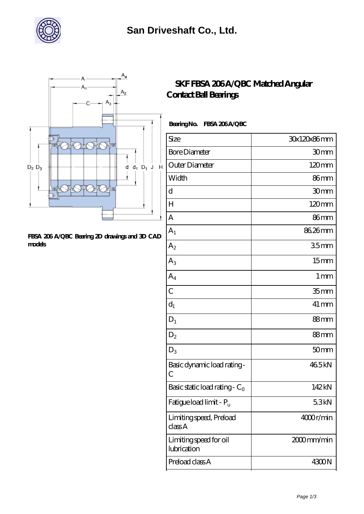



## **[FBSA 206 A/QBC Bearing 2D drawings and 3D CAD](https://m.xhjko.com/pic-148186.html) [models](https://m.xhjko.com/pic-148186.html)**

## **SKF FBSA 206A/QBC Matched Angular [Contact Ball Bearings](https://m.xhjko.com/be-148186-skf-fbsa-206-a-qbc-matched-angular-contact-ball-bearings.html)**

 **Bearing No. FBSA 206 A/QBC**

| Size                                  | 30x120x86mm        |
|---------------------------------------|--------------------|
| <b>Bore Diameter</b>                  | 30mm               |
| Outer Diameter                        | $120 \text{mm}$    |
| Width                                 | 86mm               |
| d                                     | 30 <sub>mm</sub>   |
| H                                     | $120 \text{mm}$    |
| A                                     | 86mm               |
| A <sub>1</sub>                        | 86.26mm            |
| $A_2$                                 | 35mm               |
| $A_3$                                 | 15 <sub>mm</sub>   |
| $A_4$                                 | 1 <sub>mm</sub>    |
| $\overline{C}$                        | 35 <sub>mm</sub>   |
| $d_1$                                 | $41 \,\mathrm{mm}$ |
| $D_1$                                 | 88 <sub>mm</sub>   |
| $D_2$                                 | 88mm               |
| $D_3$                                 | 50 <sub>mm</sub>   |
| Basic dynamic load rating-<br>C       | 465kN              |
| Basic static load rating - $C_0$      | 142kN              |
| Fatigue load limit - Pu               | 5.3kN              |
| Limiting speed, Preload<br>classA     | 4000r/min          |
| Limiting speed for oil<br>lubrication | 2000mm/min         |
| Preload class A                       | 4300N              |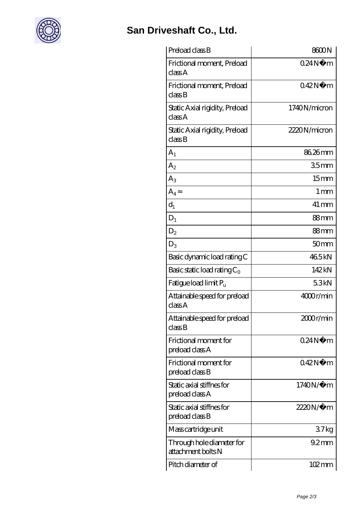

## **[San Driveshaft Co., Ltd.](https://m.xhjko.com)**

| Preload class B                                 | 8600N               |
|-------------------------------------------------|---------------------|
| Frictional moment, Preload<br>classA            | 024N<br>m           |
| Frictional moment, Preload<br>classB            | 042N<br>m           |
| Static Axial rigidity, Preload<br>classA        | 1740N/micron        |
| Static Axial rigidity, Preload<br>classB        | 2220N/micron        |
| $A_{1}$                                         | 86.26mm             |
| $\rm A_2$                                       | 35mm                |
| $A_{3}$                                         | 15 <sub>mm</sub>    |
| $A_4$                                           | $1 \,\mathrm{mm}$   |
| $d_1$                                           | $41 \,\mathrm{mm}$  |
| $D_1$                                           | 88mm                |
| D <sub>2</sub>                                  | 88mm                |
| $D_3$                                           | 50 <sub>mm</sub>    |
| Basic dynamic load rating C                     | 465kN               |
| Basic static load rating $C_0$                  | 142kN               |
| Fatigue load limit $P_u$                        | 53kN                |
| Attainable speed for preload<br>classA          | 4000r/min           |
| Attainable speed for preload<br>classB          | 2000r/min           |
| Frictional moment for<br>preload class A        | 024N<br>m           |
| Frictional moment for<br>preload class B        | 042N<br>m           |
| Static axial stiffnes for<br>preload class A    | $1740N/\mu$ m       |
| Static axial stiffnes for<br>preload class B    | 2220N/µ m           |
| Mass cartridge unit                             | 37kg                |
| Through hole diameter for<br>attachment bolts N | $92 \text{mm}$      |
| Pitch diameter of                               | $102 \,\mathrm{mm}$ |